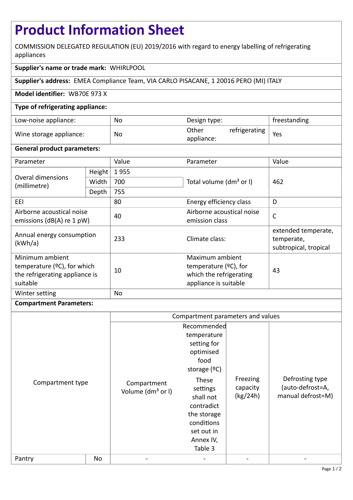# **Product Information Sheet**

COMMISSION DELEGATED REGULATION (EU) 2019/2016 with regard to energy labelling of refrigerating appliances

# **Supplier's name or trade mark:** WHIRLPOOL

**Supplier's address:** EMEA Compliance Team, VIA CARLO PISACANE, 1 20016 PERO (MI) ITALY

## **Model identifier:** WB70E 973 X

# **Type of refrigerating appliance:**

| Low-noise appliance:    | No | Design type:        |               | freestanding |
|-------------------------|----|---------------------|---------------|--------------|
| Wine storage appliance: | No | Other<br>appliance: | refrigerating | Yes          |

## **General product parameters:**

| Parameter                                                                                       |        | Value     | Parameter                                                                                       | Value                                                      |
|-------------------------------------------------------------------------------------------------|--------|-----------|-------------------------------------------------------------------------------------------------|------------------------------------------------------------|
| Overal dimensions<br>(millimetre)                                                               | Height | 1955      |                                                                                                 | 462                                                        |
|                                                                                                 | Width  | 700       | Total volume (dm <sup>3</sup> or I)                                                             |                                                            |
|                                                                                                 | Depth  | 755       |                                                                                                 |                                                            |
| EEL                                                                                             |        | 80        | Energy efficiency class                                                                         | D                                                          |
| Airborne acoustical noise<br>emissions ( $dB(A)$ re 1 pW)                                       |        | 40        | Airborne acoustical noise<br>emission class                                                     | $\mathsf{C}$                                               |
| Annual energy consumption<br>(kWh/a)                                                            |        | 233       | Climate class:                                                                                  | extended temperate,<br>temperate,<br>subtropical, tropical |
| Minimum ambient<br>temperature $(2C)$ , for which<br>the refrigerating appliance is<br>suitable |        | 10        | Maximum ambient<br>temperature $(2C)$ , for<br>which the refrigerating<br>appliance is suitable | 43                                                         |
| Winter setting                                                                                  |        | <b>No</b> |                                                                                                 |                                                            |

## **Compartment Parameters:**

|                  |    | Compartment parameters and values            |                                                                                                                                  |                                  |                                                          |
|------------------|----|----------------------------------------------|----------------------------------------------------------------------------------------------------------------------------------|----------------------------------|----------------------------------------------------------|
| Compartment type |    | Compartment<br>Volume (dm <sup>3</sup> or I) | Recommended<br>temperature<br>setting for<br>optimised<br>food<br>storage $(°C)$<br>These<br>settings<br>shall not<br>contradict | Freezing<br>capacity<br>(kg/24h) | Defrosting type<br>(auto-defrost=A,<br>manual defrost=M) |
|                  |    |                                              | the storage<br>conditions<br>set out in<br>Annex IV,<br>Table 3                                                                  |                                  |                                                          |
| Pantry           | No |                                              |                                                                                                                                  |                                  |                                                          |